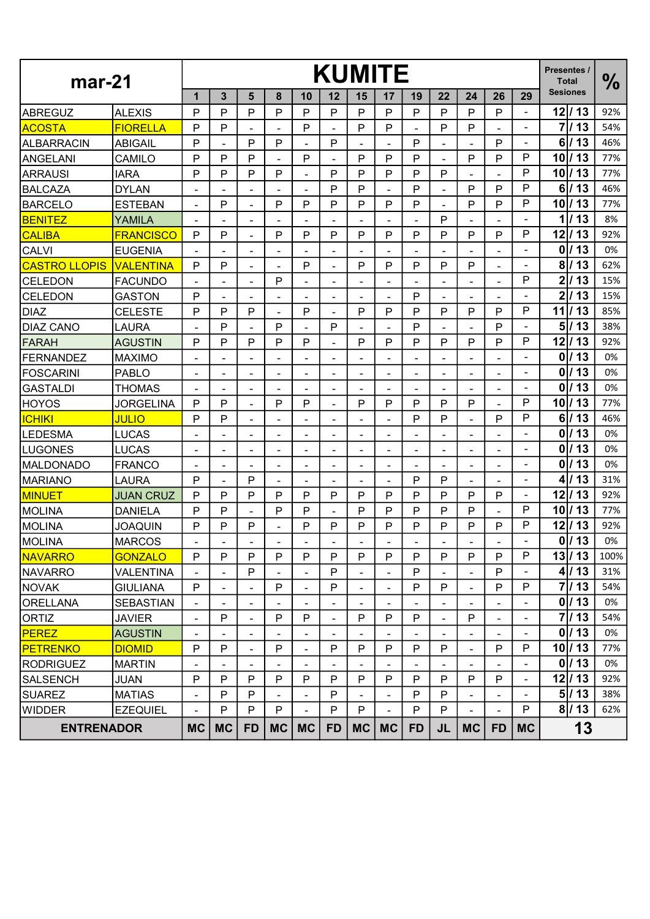| $mar-21$             |                  |                          |                          |                          |                |                          |                          | <b>KUMITE</b>            |                              |                          |                              |                              |                              | Presentes /<br><b>Total</b> | $\frac{0}{0}$            |      |
|----------------------|------------------|--------------------------|--------------------------|--------------------------|----------------|--------------------------|--------------------------|--------------------------|------------------------------|--------------------------|------------------------------|------------------------------|------------------------------|-----------------------------|--------------------------|------|
|                      |                  | 1                        | 3                        | 5                        | 8              | 10                       | 12                       | 15                       | 17                           | 19                       | 22                           | 24                           | 26                           | 29                          | <b>Sesiones</b>          |      |
| <b>ABREGUZ</b>       | <b>ALEXIS</b>    | P                        | P                        | P                        | P              | P                        | P                        | P                        | P                            | P                        | P                            | P                            | P                            | Ξ.                          | $12$ / 13                | 92%  |
| <b>ACOSTA</b>        | <b>FIORELLA</b>  | P                        | P                        |                          |                | P                        |                          | P                        | P                            |                          | P                            | P                            |                              |                             | $\overline{7}$<br>13     | 54%  |
| <b>ALBARRACIN</b>    | <b>ABIGAIL</b>   | P                        | ÷,                       | P                        | P              | $\overline{\phantom{a}}$ | P                        | $\overline{\phantom{a}}$ |                              | P                        | ÷                            |                              | P                            |                             | 6<br>113                 | 46%  |
| <b>ANGELANI</b>      | CAMILO           | P                        | P                        | P                        |                | $\mathsf{P}$             |                          | P                        | P                            | P                        | $\blacksquare$               | P                            | P                            | P                           | 113<br>10                | 77%  |
| <b>ARRAUSI</b>       | <b>IARA</b>      | P                        | P                        | P                        | P              | $\sim$                   | P                        | P                        | P                            | P                        | P                            |                              |                              | P                           | 13<br>10                 | 77%  |
| <b>BALCAZA</b>       | <b>DYLAN</b>     |                          | -                        |                          |                | $\overline{\phantom{a}}$ | P                        | P                        |                              | P                        |                              | P                            | P                            | P                           | 6<br>113                 | 46%  |
| <b>BARCELO</b>       | <b>ESTEBAN</b>   | $\blacksquare$           | P                        | $\blacksquare$           | P              | P                        | P                        | P                        | P                            | P                        | $\blacksquare$               | P                            | P                            | P                           | /13<br>10 <sub>l</sub>   | 77%  |
| <b>BENITEZ</b>       | YAMILA           |                          |                          |                          |                | $\sim$                   |                          | $\blacksquare$           |                              | ٠                        | P                            |                              |                              |                             | 1<br>13                  | 8%   |
| <b>CALIBA</b>        | <b>FRANCISCO</b> | P                        | P                        |                          | P              | P                        | P                        | P                        | P                            | P                        | P                            | P                            | P                            | P                           | 12<br>/13                | 92%  |
| <b>CALVI</b>         | <b>EUGENIA</b>   |                          |                          | $\blacksquare$           |                |                          |                          |                          |                              |                          |                              |                              | ٠                            | ۰                           | 13<br>$\mathbf 0$        | 0%   |
| <b>CASTRO LLOPIS</b> | <b>VALENTINA</b> | P                        | P                        | $\overline{\phantom{0}}$ |                | P                        | $\overline{\phantom{a}}$ | P                        | P                            | P                        | P                            | P                            | $\overline{\phantom{0}}$     |                             | 8 <sup>1</sup><br>13     | 62%  |
| <b>CELEDON</b>       | <b>FACUNDO</b>   |                          | $\overline{\phantom{a}}$ | $\overline{\phantom{a}}$ | P              | $\overline{\phantom{a}}$ | $\overline{\phantom{a}}$ | $\blacksquare$           | $\overline{\phantom{a}}$     | ۰                        | $\overline{\phantom{a}}$     | ۰                            | $\blacksquare$               | $\mathsf{P}$                | $\overline{2}$<br>13     | 15%  |
| <b>CELEDON</b>       | <b>GASTON</b>    | P                        | ٠                        |                          |                | $\blacksquare$           |                          | ٠                        |                              | P                        | $\blacksquare$               |                              | ÷.                           | ۰                           | $\boldsymbol{2}$<br>/ 13 | 15%  |
| <b>DIAZ</b>          | <b>CELESTE</b>   | P                        | P                        | P                        | $\blacksquare$ | P                        | ٠                        | P                        | P                            | P                        | P                            | P                            | P                            | P                           | 13<br>11                 | 85%  |
| <b>DIAZ CANO</b>     | <b>LAURA</b>     |                          | P                        |                          | P              | $\overline{\phantom{a}}$ | P                        | ۰                        |                              | P                        | $\qquad \qquad \blacksquare$ |                              | P                            |                             | 5<br>13                  | 38%  |
| <b>FARAH</b>         | <b>AGUSTIN</b>   | P                        | P                        | P                        | P              | P                        |                          | P                        | P                            | P                        | P                            | P                            | P                            | P                           | 12<br>13                 | 92%  |
| <b>FERNANDEZ</b>     | <b>MAXIMO</b>    |                          | ۰                        |                          |                | $\blacksquare$           | ٠                        | ٠                        |                              | ۰                        | $\blacksquare$               |                              | $\blacksquare$               | ۰                           | 13<br>$\mathbf{0}$       | 0%   |
| <b>FOSCARINI</b>     | <b>PABLO</b>     | $\overline{\phantom{a}}$ | $\overline{\phantom{a}}$ |                          |                | $\overline{\phantom{a}}$ | ٠                        | ۰                        | $\overline{\phantom{a}}$     | $\blacksquare$           | $\overline{\phantom{a}}$     | ۰                            | $\qquad \qquad \blacksquare$ |                             | 13<br>0                  | 0%   |
| <b>GASTALDI</b>      | <b>THOMAS</b>    |                          |                          |                          |                |                          |                          |                          |                              |                          |                              |                              |                              |                             | 13<br>0                  | 0%   |
| <b>HOYOS</b>         | <b>JORGELINA</b> | P                        | P                        | $\blacksquare$           | P              | P                        | ٠                        | P                        | P                            | P                        | P                            | P                            |                              | P                           | 10<br>/13                | 77%  |
| <b>ICHIKI</b>        | <b>JULIO</b>     | P                        | P                        | $\blacksquare$           | ٠              | $\blacksquare$           | ÷                        | ۰                        |                              | P                        | P                            | ٠                            | P                            | P                           | 6<br>13                  | 46%  |
| <b>LEDESMA</b>       | <b>LUCAS</b>     |                          |                          |                          |                |                          |                          |                          |                              |                          |                              |                              |                              |                             | 13<br>$\mathbf 0$        | 0%   |
| <b>LUGONES</b>       | <b>LUCAS</b>     |                          |                          |                          |                | ä,                       |                          | ٠                        |                              | ۰                        | $\blacksquare$               |                              |                              | $\blacksquare$              | $\mathbf{0}$<br>13       | 0%   |
| <b>MALDONADO</b>     | <b>FRANCO</b>    | $\overline{\phantom{a}}$ | $\overline{\phantom{a}}$ | $\blacksquare$           | $\blacksquare$ | $\blacksquare$           | $\overline{\phantom{a}}$ | $\overline{\phantom{a}}$ | $\overline{\phantom{a}}$     | $\blacksquare$           | $\blacksquare$               | $\qquad \qquad \blacksquare$ | $\blacksquare$               | ۰                           | 13<br>0                  | 0%   |
| <b>MARIANO</b>       | <b>LAURA</b>     | P                        |                          | P                        |                |                          |                          |                          |                              | P                        | P                            |                              |                              | Ξ.                          | /13<br>4                 | 31%  |
| <b>MINUET</b>        | <b>JUAN CRUZ</b> | P                        | P                        | P                        | P              | P                        | P                        | P                        | P                            | P                        | P                            | P                            | P                            | $\blacksquare$              | 12<br>/ 13               | 92%  |
| <b>MOLINA</b>        | <b>DANIELA</b>   | P                        | P                        |                          | P              | P                        | $\blacksquare$           | P                        | P                            | P                        | P                            | P                            | $\blacksquare$               | P                           | 113<br>10 <sup>1</sup>   | 77%  |
| <b>MOLINA</b>        | <b>JOAQUIN</b>   | P                        | P                        | P                        |                | P                        | P                        | P                        | P                            | P                        | P                            | P                            | P                            | $\mathsf{P}$                | 12<br>113                | 92%  |
| <b>MOLINA</b>        | <b>MARCOS</b>    |                          |                          |                          |                |                          |                          |                          |                              |                          |                              |                              |                              |                             | $0$  /13                 | 0%   |
| <b>NAVARRO</b>       | <b>GONZALO</b>   | P                        | P                        | P                        | P              | P                        | P                        | P                        | P                            | P                        | P                            | P                            | P                            | P                           | 13/13                    | 100% |
| <b>NAVARRO</b>       | <b>VALENTINA</b> |                          |                          | P                        |                | $\overline{\phantom{a}}$ | $\mathsf{P}$             |                          |                              | $\mathsf{P}$             |                              |                              | $\mathsf{P}$                 |                             | 4/13                     | 31%  |
| <b>NOVAK</b>         | <b>GIULIANA</b>  | P                        | $\blacksquare$           |                          | P              | $\blacksquare$           | $\mathsf{P}$             | $\blacksquare$           | $\blacksquare$               | $\mathsf{P}$             | $\mathsf{P}$                 | ۰                            | P                            | P                           | 7/13                     | 54%  |
| <b>ORELLANA</b>      | <b>SEBASTIAN</b> | $\overline{\phantom{a}}$ | $\overline{\phantom{a}}$ | $\overline{\phantom{a}}$ | $\blacksquare$ | $\blacksquare$           | $\overline{\phantom{a}}$ | ۰                        | $\overline{\phantom{a}}$     | $\overline{\phantom{a}}$ | $\blacksquare$               | $\overline{\phantom{a}}$     | $\blacksquare$               | $\overline{\phantom{0}}$    | 0/13                     | 0%   |
| ORTIZ                | <b>JAVIER</b>    | $\overline{\phantom{a}}$ | P                        | $\overline{\phantom{a}}$ | P              | $\mathsf{P}$             | $\overline{\phantom{a}}$ | P                        | P                            | P                        | ÷,                           | P                            |                              | ÷,                          | 7/13                     | 54%  |
| <b>PEREZ</b>         | <b>AGUSTIN</b>   |                          |                          | $\overline{\phantom{a}}$ |                |                          |                          |                          |                              |                          |                              |                              | $\blacksquare$               |                             | 0/13                     | 0%   |
| <b>PETRENKO</b>      | <b>DIOMID</b>    | P                        | $\mathsf{P}$             | $\blacksquare$           | P              | $\blacksquare$           | P                        | P                        | P                            | $\mathsf{P}$             | $\mathsf{P}$                 | ۰                            | $\mathsf{P}$                 | $\mathsf{P}$                | $10$ / 13                | 77%  |
| <b>RODRIGUEZ</b>     | <b>MARTIN</b>    |                          |                          |                          |                |                          |                          |                          |                              |                          |                              |                              |                              | $\overline{\phantom{0}}$    | 0/13                     | 0%   |
| <b>SALSENCH</b>      | <b>JUAN</b>      | Ρ                        | P                        | P                        | P              | P                        | P                        | P                        | P                            | ${\sf P}$                | P                            | P                            | P                            | $\overline{\phantom{0}}$    | $12$ / 13                | 92%  |
| <b>SUAREZ</b>        | <b>MATIAS</b>    | $\overline{\phantom{a}}$ | P                        | P                        | ۰              | $\blacksquare$           | P                        | $\overline{\phantom{0}}$ | $\qquad \qquad \blacksquare$ | ${\sf P}$                | $\mathsf{P}$                 | ۰                            | $\blacksquare$               | $\overline{\phantom{a}}$    | 5/13                     | 38%  |
| <b>WIDDER</b>        | <b>EZEQUIEL</b>  |                          | P                        | $\mathsf{P}$             | P              |                          | P                        | P                        |                              | ${\sf P}$                | $\mathsf{P}$                 |                              |                              | P                           | 8/13                     | 62%  |
| <b>ENTRENADOR</b>    | <b>MC</b>        | <b>MC</b>                | <b>FD</b>                | <b>MC</b>                | <b>MC</b>      | <b>FD</b>                | <b>MC</b>                | <b>MC</b>                | <b>FD</b>                    | JL                       | <b>MC</b>                    | <b>FD</b>                    | <b>MC</b>                    | 13                          |                          |      |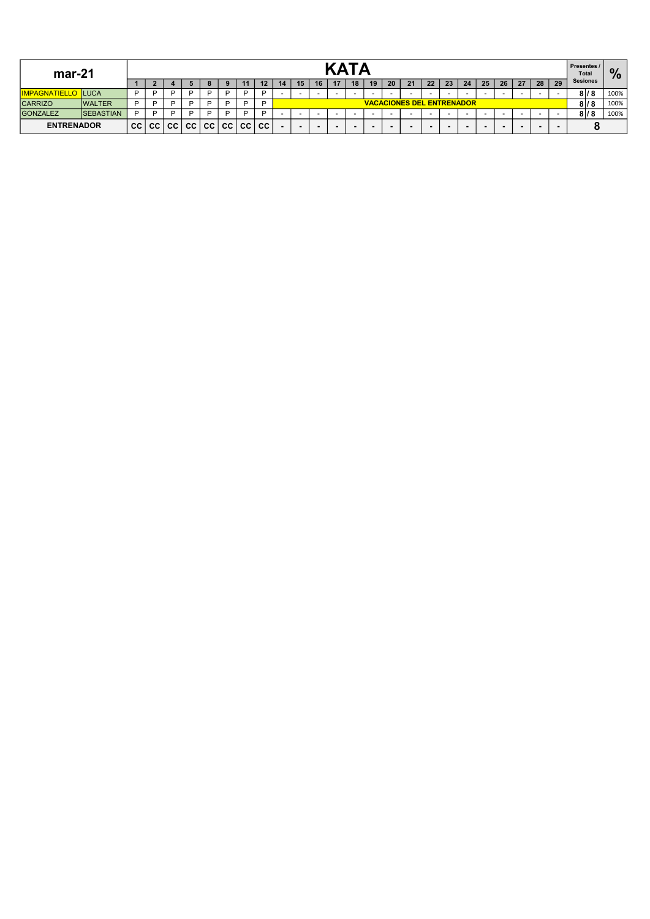| $mar-21$             |                  |           |           |    |           |    |           |             |           |                          |                                  | <b>KATA</b> |        |                          |                          |    |                          |    |    |    |                          |    |    |                          | <b>Presentes /</b><br><b>Total</b> | $\frac{9}{6}$   |      |
|----------------------|------------------|-----------|-----------|----|-----------|----|-----------|-------------|-----------|--------------------------|----------------------------------|-------------|--------|--------------------------|--------------------------|----|--------------------------|----|----|----|--------------------------|----|----|--------------------------|------------------------------------|-----------------|------|
|                      |                  |           |           |    |           |    |           | 11          | 12        | 14                       | 15                               | 16          | 17     | 18                       | 19                       | 20 | 21                       | 22 | 23 | 24 | 25                       | 26 | 27 | 28                       | 29                                 | <b>Sesiones</b> |      |
| <b>IMPAGNATIELLO</b> | <b>ILUCA</b>     |           |           |    | D         |    |           |             | D         |                          |                                  |             | $\sim$ | -                        |                          |    | $\sim$                   | -  |    |    | $\overline{\phantom{a}}$ |    |    | $\overline{\phantom{a}}$ | $\sim$                             | 81/8            | 100% |
| <b>CARRIZO</b>       | <b>WALTER</b>    | D         |           |    | D         |    |           |             | D         |                          | <b>VACACIONES DEL ENTRENADOR</b> |             |        |                          |                          |    |                          |    |    |    |                          |    |    | 81/8                     | 100%                               |                 |      |
| GONZALEZ             | <b>SEBASTIAN</b> |           | D         |    | D         |    |           |             | D         |                          |                                  |             |        |                          |                          |    | $\overline{\phantom{0}}$ |    |    |    |                          |    |    | $\overline{\phantom{0}}$ | $\sim$                             | 81/8            | 100% |
| <b>ENTRENADOR</b>    |                  | <b>CC</b> | <b>CC</b> | CC | <b>CC</b> | CC | <b>CC</b> | <b>CC</b> I | <b>CC</b> | $\overline{\phantom{a}}$ | $\overline{\phantom{a}}$         |             | $\sim$ | $\overline{\phantom{a}}$ | $\overline{\phantom{a}}$ |    | $\overline{\phantom{a}}$ |    |    |    |                          |    |    |                          |                                    |                 |      |